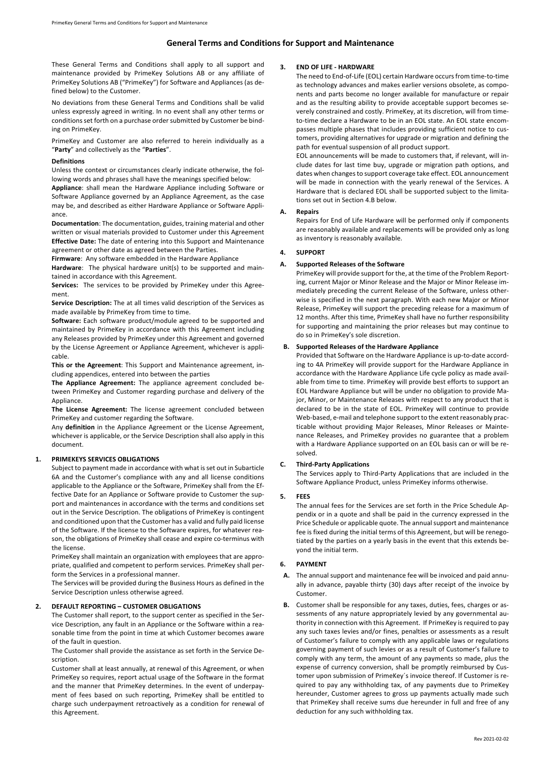# **General Terms and Conditions for Support and Maintenance**

These General Terms and Conditions shall apply to all support and maintenance provided by PrimeKey Solutions AB or any affiliate of PrimeKey Solutions AB ("PrimeKey") for Software and Appliances (as defined below) to the Customer.

No deviations from these General Terms and Conditions shall be valid unless expressly agreed in writing. In no event shall any other terms or conditions set forth on a purchase order submitted by Customer be binding on PrimeKey.

PrimeKey and Customer are also referred to herein individually as a "**Party**" and collectively as the "**Parties**".

#### **Definitions**

Unless the context or circumstances clearly indicate otherwise, the following words and phrases shall have the meanings specified below:

**Appliance**: shall mean the Hardware Appliance including Software or Software Appliance governed by an Appliance Agreement, as the case may be, and described as either Hardware Appliance or Software Appliance.

**Documentation**: The documentation, guides, training material and other written or visual materials provided to Customer under this Agreement **Effective Date:** The date of entering into this Support and Maintenance agreement or other date as agreed between the Parties.

**Firmware**: Any software embedded in the Hardware Appliance

**Hardware**: The physical hardware unit(s) to be supported and maintained in accordance with this Agreement.

**Services:** The services to be provided by PrimeKey under this Agreement.

**Service Description:** The at all times valid description of the Services as made available by PrimeKey from time to time.

**Software:** Each software product/module agreed to be supported and maintained by PrimeKey in accordance with this Agreement including any Releases provided by PrimeKey under this Agreement and governed by the License Agreement or Appliance Agreement, whichever is applicable.

**This or the Agreement**: This Support and Maintenance agreement, including appendices, entered into between the parties

**The Appliance Agreement:** The appliance agreement concluded between PrimeKey and Customer regarding purchase and delivery of the Appliance.

**The License Agreement:** The license agreement concluded between PrimeKey and customer regarding the Software.

Any **definition** in the Appliance Agreement or the License Agreement, whichever is applicable, or the Service Description shall also apply in this document.

### **1. PRIMEKEYS SERVICES OBLIGATIONS**

Subject to payment made in accordance with what is set out in Subarticle 6A and the Customer's compliance with any and all license conditions applicable to the Appliance or the Software, PrimeKey shall from the Effective Date for an Appliance or Software provide to Customer the support and maintenances in accordance with the terms and conditions set out in the Service Description. The obligations of PrimeKey is contingent and conditioned upon that the Customer has a valid and fully paid license of the Software. If the license to the Software expires, for whatever reason, the obligations of PrimeKey shall cease and expire co-terminus with the license.

PrimeKey shall maintain an organization with employees that are appropriate, qualified and competent to perform services. PrimeKey shall perform the Services in a professional manner.

The Services will be provided during the Business Hours as defined in the Service Description unless otherwise agreed.

#### **2. DEFAULT REPORTING – CUSTOMER OBLIGATIONS**

The Customer shall report, to the support center as specified in the Service Description, any fault in an Appliance or the Software within a reasonable time from the point in time at which Customer becomes aware of the fault in question.

The Customer shall provide the assistance as set forth in the Service Description.

Customer shall at least annually, at renewal of this Agreement, or when PrimeKey so requires, report actual usage of the Software in the format and the manner that PrimeKey determines. In the event of underpayment of fees based on such reporting, PrimeKey shall be entitled to charge such underpayment retroactively as a condition for renewal of this Agreement.

# **3. END OF LIFE - HARDWARE**

The need to End-of-Life (EOL) certain Hardware occurs from time-to-time as technology advances and makes earlier versions obsolete, as components and parts become no longer available for manufacture or repair and as the resulting ability to provide acceptable support becomes severely constrained and costly. PrimeKey, at its discretion, will from timeto-time declare a Hardware to be in an EOL state. An EOL state encompasses multiple phases that includes providing sufficient notice to customers, providing alternatives for upgrade or migration and defining the path for eventual suspension of all product support.

EOL announcements will be made to customers that, if relevant, will include dates for last time buy, upgrade or migration path options, and dates when changes to support coverage take effect. EOL announcement will be made in connection with the yearly renewal of the Services. A Hardware that is declared EOL shall be supported subject to the limitations set out in Section 4.B below.

#### **A. Repairs**

Repairs for End of Life Hardware will be performed only if components are reasonably available and replacements will be provided only as long as inventory is reasonably available.

#### **4. SUPPORT**

#### **A. Supported Releases of the Software**

PrimeKey will provide support for the, at the time of the Problem Reporting, current Major or Minor Release and the Major or Minor Release immediately preceding the current Release of the Software, unless otherwise is specified in the next paragraph. With each new Major or Minor Release, PrimeKey will support the preceding release for a maximum of 12 months. After this time, PrimeKey shall have no further responsibility for supporting and maintaining the prior releases but may continue to do so in PrimeKey's sole discretion.

# **B. Supported Releases of the Hardware Appliance**

Provided that Software on the Hardware Appliance is up-to-date according to 4A PrimeKey will provide support for the Hardware Appliance in accordance with the Hardware Appliance Life cycle policy as made available from time to time. PrimeKey will provide best efforts to support an EOL Hardware Appliance but will be under no obligation to provide Major, Minor, or Maintenance Releases with respect to any product that is declared to be in the state of EOL. PrimeKey will continue to provide Web-based, e-mail and telephone support to the extent reasonably practicable without providing Major Releases, Minor Releases or Maintenance Releases, and PrimeKey provides no guarantee that a problem with a Hardware Appliance supported on an EOL basis can or will be resolved.

# **C. Third-Party Applications**

The Services apply to Third-Party Applications that are included in the Software Appliance Product, unless PrimeKey informs otherwise.

### **5. FEES**

The annual fees for the Services are set forth in the Price Schedule Appendix or in a quote and shall be paid in the currency expressed in the Price Schedule or applicable quote. The annual support and maintenance fee is fixed during the initial terms of this Agreement, but will be renegotiated by the parties on a yearly basis in the event that this extends beyond the initial term.

#### **6. PAYMENT**

- **A.** The annual support and maintenance fee will be invoiced and paid annually in advance, payable thirty (30) days after receipt of the invoice by Customer.
- **B.** Customer shall be responsible for any taxes, duties, fees, charges or assessments of any nature appropriately levied by any governmental authority in connection with this Agreement. If PrimeKey is required to pay any such taxes levies and/or fines, penalties or assessments as a result of Customer's failure to comply with any applicable laws or regulations governing payment of such levies or as a result of Customer's failure to comply with any term, the amount of any payments so made, plus the expense of currency conversion, shall be promptly reimbursed by Customer upon submission of PrimeKey´s invoice thereof. If Customer is required to pay any withholding tax, of any payments due to PrimeKey hereunder, Customer agrees to gross up payments actually made such that PrimeKey shall receive sums due hereunder in full and free of any deduction for any such withholding tax.